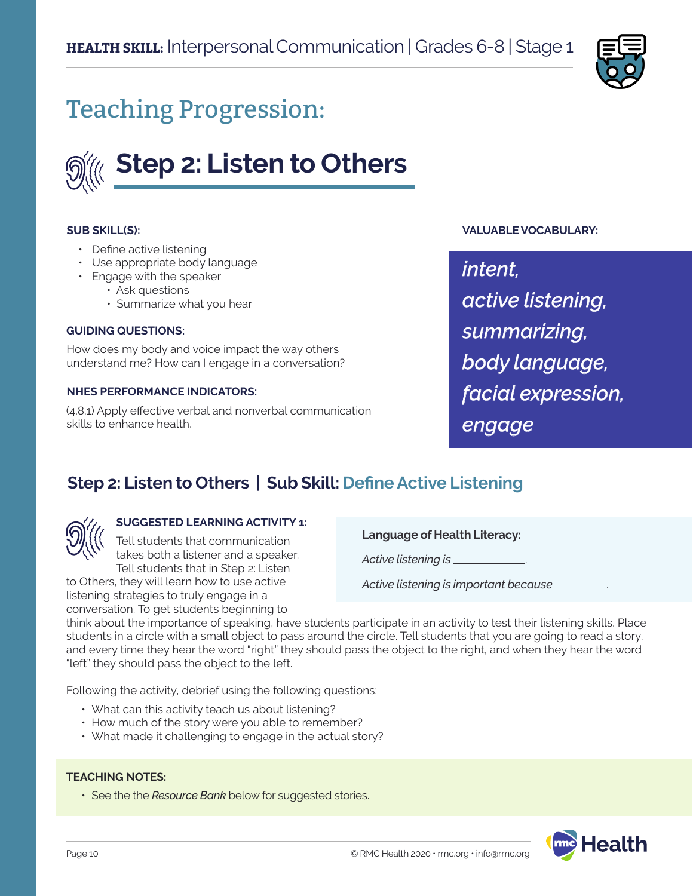

# Teaching Progression:



### **SUB SKILL(S):**

- Define active listening
- Use appropriate body language
- Engage with the speaker
	- Ask questions
		- Summarize what you hear

#### **GUIDING QUESTIONS:**

How does my body and voice impact the way others understand me? How can I engage in a conversation?

### **NHES PERFORMANCE INDICATORS:**

(4.8.1) Apply effective verbal and nonverbal communication skills to enhance health.

### **VALUABLE VOCABULARY:**

*intent, active listening, summarizing, body language, facial expression, engage*

# **Step 2: Listen to Others | Sub Skill: Define Active Listening**



### **SUGGESTED LEARNING ACTIVITY 1:**

Tell students that communication takes both a listener and a speaker. Tell students that in Step 2: Listen to Others, they will learn how to use active

listening strategies to truly engage in a conversation. To get students beginning to **Language of Health Literacy:**

*Active listening is* .

*Active listening is important because* .

think about the importance of speaking, have students participate in an activity to test their listening skills. Place students in a circle with a small object to pass around the circle. Tell students that you are going to read a story, and every time they hear the word "right" they should pass the object to the right, and when they hear the word "left" they should pass the object to the left.

Following the activity, debrief using the following questions:

- What can this activity teach us about listening?
- How much of the story were you able to remember?
- What made it challenging to engage in the actual story?

### **TEACHING NOTES:**

• See the the *Resource Bank* below for suggested stories.

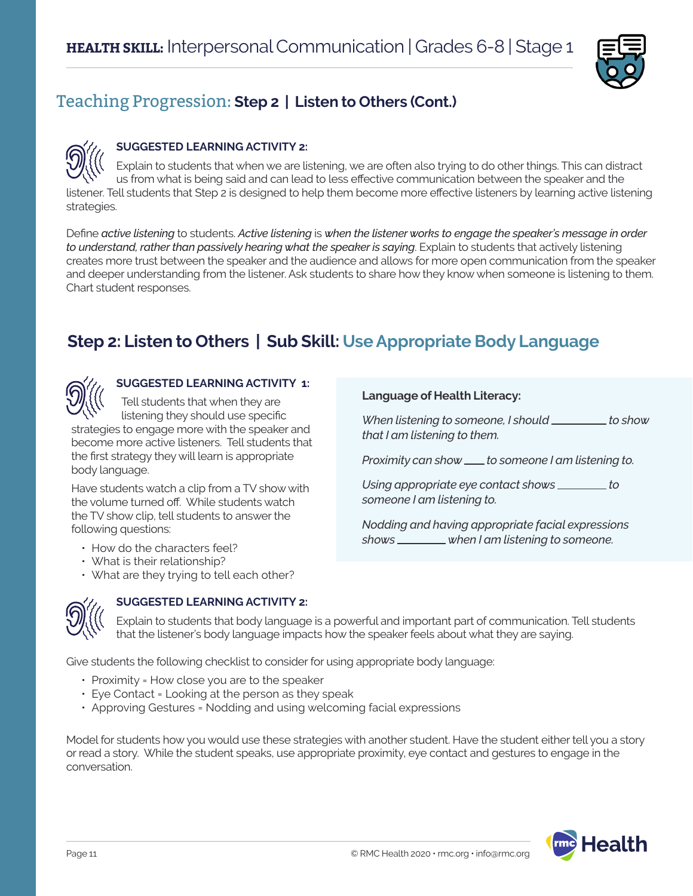

# Teaching Progression: **Step 2 | Listen to Others (Cont.)**

### **SUGGESTED LEARNING ACTIVITY 2:**

Explain to students that when we are listening, we are often also trying to do other things. This can distract us from what is being said and can lead to less effective communication between the speaker and the listener. Tell students that Step 2 is designed to help them become more effective listeners by learning active listening strategies.

Define *active listening* to students. *Active listening* is *when the listener works to engage the speaker's message in order to understand, rather than passively hearing what the speaker is saying*. Explain to students that actively listening creates more trust between the speaker and the audience and allows for more open communication from the speaker and deeper understanding from the listener. Ask students to share how they know when someone is listening to them. Chart student responses.

# **Step 2: Listen to Others | Sub Skill: Use Appropriate Body Language**



### **SUGGESTED LEARNING ACTIVITY 1:**

Tell students that when they are listening they should use specific strategies to engage more with the speaker and become more active listeners. Tell students that

the first strategy they will learn is appropriate body language.

Have students watch a clip from a TV show with the volume turned off. While students watch the TV show clip, tell students to answer the following questions:

- How do the characters feel?
- What is their relationship?
- What are they trying to tell each other?

### **Language of Health Literacy:**

*When listening to someone, I should* \_\_\_\_\_\_\_\_ to show *that I am listening to them.* 

*Proximity can show* <u>for someone I am listening to.</u>

*Using appropriate eye contact shows* \_\_\_\_\_\_\_\_ to *someone I am listening to.* 

*Nodding and having appropriate facial expressions shows when I am listening to someone.* 



### **SUGGESTED LEARNING ACTIVITY 2:**

Explain to students that body language is a powerful and important part of communication. Tell students that the listener's body language impacts how the speaker feels about what they are saying.

Give students the following checklist to consider for using appropriate body language:

- Proximity = How close you are to the speaker
- Eye Contact = Looking at the person as they speak
- Approving Gestures = Nodding and using welcoming facial expressions

Model for students how you would use these strategies with another student. Have the student either tell you a story or read a story. While the student speaks, use appropriate proximity, eye contact and gestures to engage in the conversation.

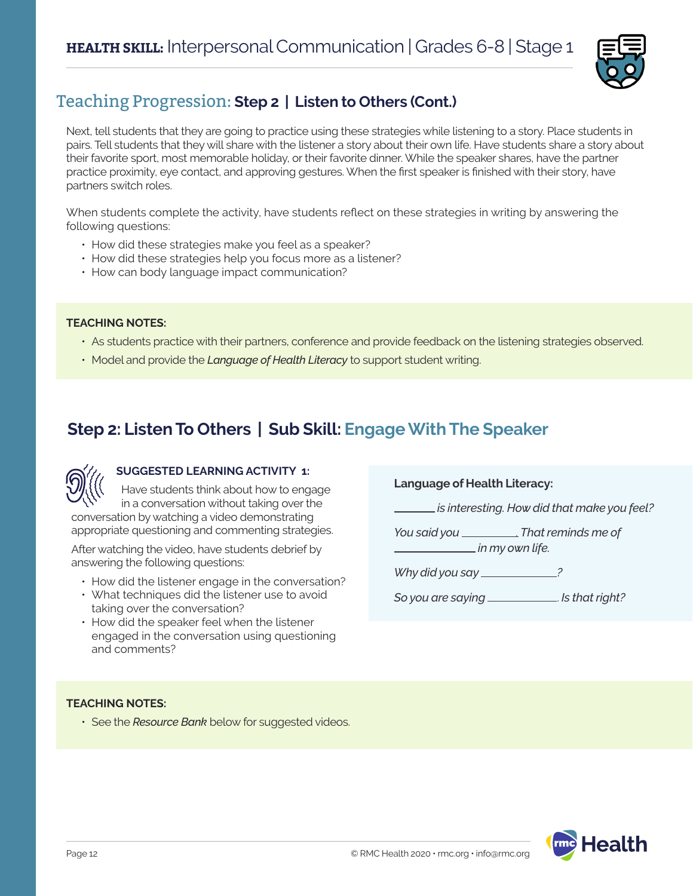

# Teaching Progression: **Step 2 | Listen to Others (Cont.)**

Next, tell students that they are going to practice using these strategies while listening to a story. Place students in pairs. Tell students that they will share with the listener a story about their own life. Have students share a story about their favorite sport, most memorable holiday, or their favorite dinner. While the speaker shares, have the partner practice proximity, eye contact, and approving gestures. When the first speaker is finished with their story, have partners switch roles.

When students complete the activity, have students reflect on these strategies in writing by answering the following questions:

- How did these strategies make you feel as a speaker?
- How did these strategies help you focus more as a listener?
- How can body language impact communication?

### **TEACHING NOTES:**

- As students practice with their partners, conference and provide feedback on the listening strategies observed.
- Model and provide the *Language of Health Literacy* to support student writing.

# **Step 2: Listen To Others | Sub Skill: Engage With The Speaker**



### **SUGGESTED LEARNING ACTIVITY 1:**

Have students think about how to engage in a conversation without taking over the conversation by watching a video demonstrating appropriate questioning and commenting strategies.

After watching the video, have students debrief by answering the following questions:

- How did the listener engage in the conversation?
- What techniques did the listener use to avoid taking over the conversation?
- How did the speaker feel when the listener engaged in the conversation using questioning and comments?

**Language of Health Literacy:**

 *is interesting. How did that make you feel?*

*You said you . That reminds me of in my own life.*

*Why did you say ?*

*So you are saying* . *Is that right?*

### **TEACHING NOTES:**

• See the *Resource Bank* below for suggested videos.